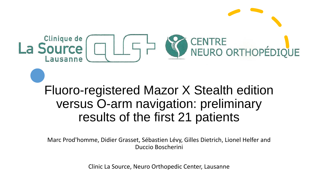

# Fluoro-registered Mazor X Stealth edition versus O-arm navigation: preliminary results of the first 21 patients

Marc Prod'homme, Didier Grasset, Sébastien Lévy, Gilles Dietrich, Lionel Helfer and Duccio Boscherini

Clinic La Source, Neuro Orthopedic Center, Lausanne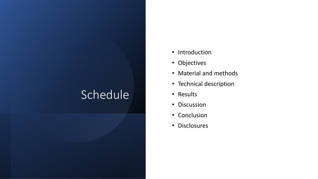# Schedule

- Introduction
- Objectives
- Material and methods
- Technical description
- Results
- Discussion
- Conclusion
- Disclosures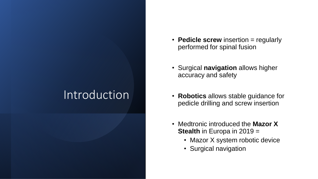# Introduction

- **Pedicle screw** insertion = regularly performed for spinal fusion
- Surgical **navigation** allows higher accuracy and safety
- **Robotics** allows stable guidance for pedicle drilling and screw insertion
- Medtronic introduced the **Mazor X Stealth** in Europa in 2019 =
	- Mazor X system robotic device
	- Surgical navigation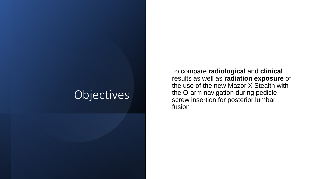## Objectives

To compare **radiological** and **clinical**  results as well as **radiation exposure** of the use of the new Mazor X Stealth with the O-arm navigation during pedicle screw insertion for posterior lumbar fusion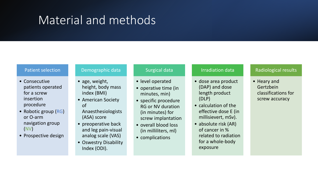# Material and methods

#### Patient selection

- Consecutive patients operated for a screw insertion procedure
- Robotic group (RG) or O-arm navigation group (NV)
- Prospective design

#### Demographic data

- age, weight, height, body mass index (BMI)
- American Society of
- Anaesthesiologists (ASA) score
- preoperative back and leg pain-visual analog scale (VAS)
- Oswestry Disability Index (ODI).

#### Surgical data

- level operated
- operative time (in minutes, min)
- specific procedure RG or NV duration (in minutes) for screw implantation
- overall blood loss (in milliliters, ml)
- complications

#### Irradiation data

- dose area product (DAP) and dose length product (DLP)
- calculation of the effective dose E (in millisievert, mSv).
- absolute risk (AR) of cancer in % related to radiation for a whole-body exposure

### Radiological results

• Heary and Gertzbein classifications for screw accuracy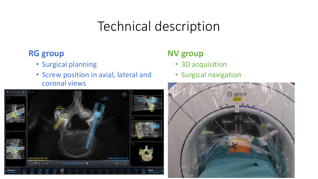# Technical description

### **RG group**

- Surgical planning
- Screw position in axial, lateral and coronal views



### **NV group**

- 3D acquisition
- Surgical navigation

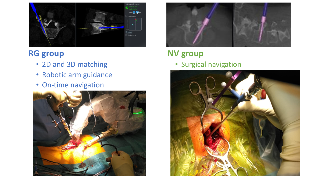

### **RG group**

- 2D and 3D matching
- Robotic arm guidance
- On-time navigation





# **NV group**

• Surgical navigation

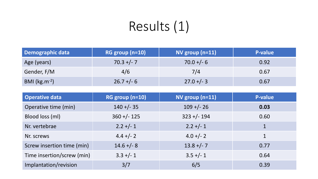# Results (1)

| Demographic data  | $RG$ group (n=10) | NV group $(n=11)$ | P-value |
|-------------------|-------------------|-------------------|---------|
| Age (years)       | $70.3 +/- 7$      | $70.0 + (-6)$     | 0.92    |
| Gender, F/M       | 4/6               | 7/4               | 0.67    |
| BMI $(kg.m^{-2})$ | $26.7 + - 6$      | $27.0 +/- 3$      | 0.67    |

| <b>Operative data</b>      | RG group (n=10) | NV group (n=11) | <b>P-value</b> |
|----------------------------|-----------------|-----------------|----------------|
| Operative time (min)       | $140 + (-35)$   | $109 + (-26)$   | 0.03           |
| Blood loss (ml)            | $360 + (-125)$  | $323 + (-194)$  | 0.60           |
| Nr. vertebrae              | $2.2 +/- 1$     | $2.2 +/- 1$     | $\mathbf 1$    |
| Nr. screws                 | $4.4 +/- 2$     | $4.0 +/- 2$     | 1              |
| Screw insertion time (min) | $14.6 + - 8$    | $13.8 +/- 7$    | 0.77           |
| Time insertion/screw (min) | $3.3 +/- 1$     | $3.5 +/- 1$     | 0.64           |
| Implantation/revision      | 3/7             | 6/5             | 0.39           |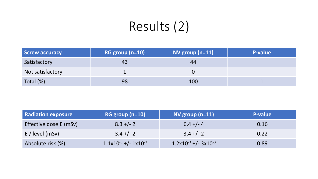# Results (2)

| Screw accuracy   | RG group (n=10) | NV group $(n=11)$ | <b>P-value</b> |
|------------------|-----------------|-------------------|----------------|
| Satisfactory     | 43              | 44                |                |
| Not satisfactory |                 |                   |                |
| Total (%)        | 98              | 100               |                |

| <b>Radiation exposure</b> | $RG$ group $(n=10)$           | NV group $(n=11)$                           | P-value |
|---------------------------|-------------------------------|---------------------------------------------|---------|
| Effective dose E (mSv)    | $8.3 +/- 2$                   | $6.4 +/- 4$                                 | 0.16    |
| $E/$ level (mSv)          | $3.4 +/- 2$                   | $3.4 +/- 2$                                 | 0.22    |
| Absolute risk (%)         | $1.1x10^{-3}$ +/- $1x10^{-3}$ | $1.2 \times 10^{-3}$ +/- $3 \times 10^{-3}$ | 0.89    |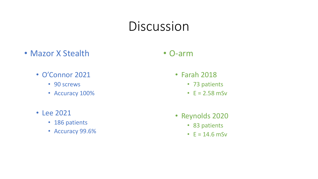# Discussion

• Mazor X Stealth

### • O-arm

- O'Connor 2021
	- 90 screws
	- Accuracy 100%
- Lee 2021
	- 186 patients
	- Accuracy 99.6%
- Farah 2018
	- 73 patients
	- $E = 2.58$  mSv
- Reynolds 2020
	- 83 patients
	- $E = 14.6$  mSv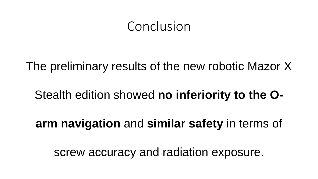# Conclusion

The preliminary results of the new robotic Mazor X

## Stealth edition showed **no inferiority to the O-**

**arm navigation** and **similar safety** in terms of

screw accuracy and radiation exposure.